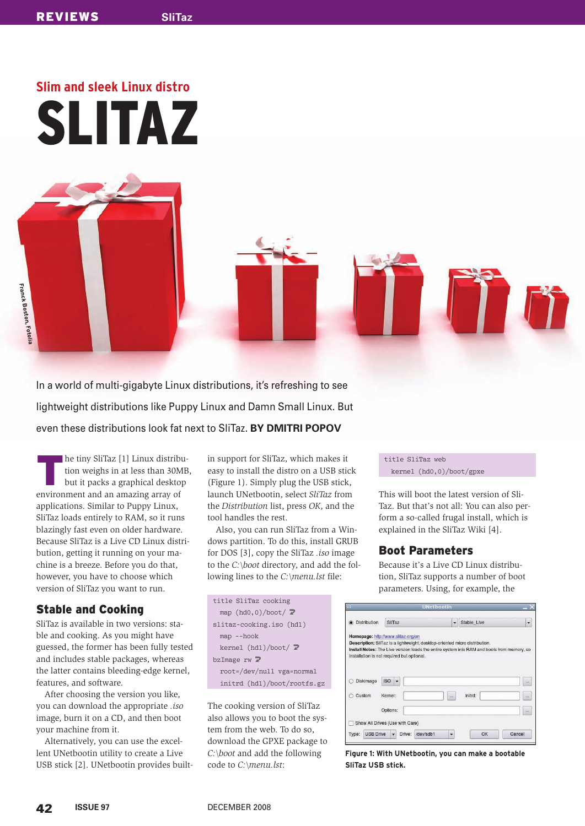# **Slim and sleek Linux distro** SLITAZ

In a world of multi-gigabyte Linux distributions, it's refreshing to see lightweight distributions like Puppy Linux and Damn Small Linux. But even these distributions look fat next to SliTaz. **BY DMITRI POPOV**

K he tiny SliTaz [1] Linux distribution weighs in at less than 30MB, but it packs a graphical desktop environment and an amazing array of applications. Similar to Puppy Linux, SliTaz loads entirely to RAM, so it runs blazingly fast even on older hardware. Because SliTaz is a Live CD Linux distribution, getting it running on your machine is a breeze. Before you do that, however, you have to choose which version of SliTaz you want to run.

# **Stable and Cooking**

SliTaz is available in two versions: stable and cooking. As you might have guessed, the former has been fully tested and includes stable packages, whereas the latter contains bleeding-edge kernel, features, and software.

After choosing the version you like, you can download the appropriate *.iso* image, burn it on a CD, and then boot your machine from it.

Alternatively, you can use the excellent UNetbootin utility to create a Live USB stick [2]. UNetbootin provides builtin support for SliTaz, which makes it easy to install the distro on a USB stick (Figure 1). Simply plug the USB stick, launch UNetbootin, select *SliTaz* from the *Distribution* list, press *OK*, and the tool handles the rest.

Also, you can run SliTaz from a Windows partition. To do this, install GRUB for DOS [3], copy the SliTaz *.iso* image to the *C:\boot* directory, and add the following lines to the *C:\menu.lst* file:

| title SliTaz cooking              |
|-----------------------------------|
| map $(hd0,0)/boot/$               |
| slitaz-cooking.iso (hdl)          |
| $map$ --hook                      |
| kernel (hdl)/boot/ $\overline{Z}$ |
| bzImage $rw \nabla$               |
| root=/dev/null_vga=normal         |
| initrd (hdl)/boot/rootfs.gz       |
|                                   |

The cooking version of SliTaz also allows you to boot the system from the web. To do so, download the GPXE package to *C:\boot* and add the following code to *C:\menu.lst*:

title SliTaz web kernel (hd0,0)/boot/gpxe

This will boot the latest version of Sli-Taz. But that's not all: You can also perform a so-called frugal install, which is explained in the SliTaz Wiki [4].

## **Boot Parameters**

Because it's a Live CD Linux distribution, SliTaz supports a number of boot parameters. Using, for example, the

| <b>Distribution</b> | SliTaz                                                                                     | ٠ | Stable Live |  |
|---------------------|--------------------------------------------------------------------------------------------|---|-------------|--|
|                     | Homepage: http://www.slitaz.org/en                                                         |   |             |  |
|                     | Description: SIITaz is a lightweight, desktop-oriented micro distribution.                 |   |             |  |
|                     | Install Notes: The Live version loads the entire system into RAM and boots from memory, so |   |             |  |
|                     | installation is not required but optional.                                                 |   |             |  |
|                     |                                                                                            |   |             |  |
|                     |                                                                                            |   |             |  |
| Diskimage           | ۰<br><b>ISO</b>                                                                            |   |             |  |
|                     |                                                                                            |   |             |  |
| Custom              | Kernel:                                                                                    |   | Initrd:     |  |
|                     |                                                                                            |   |             |  |
|                     |                                                                                            |   |             |  |
|                     | Options:                                                                                   |   |             |  |
|                     |                                                                                            |   |             |  |
|                     | Show All Drives (Use with Care)                                                            |   |             |  |

Figure 1: With UNetbootin, you can make a bootable **SliTaz USB stick.**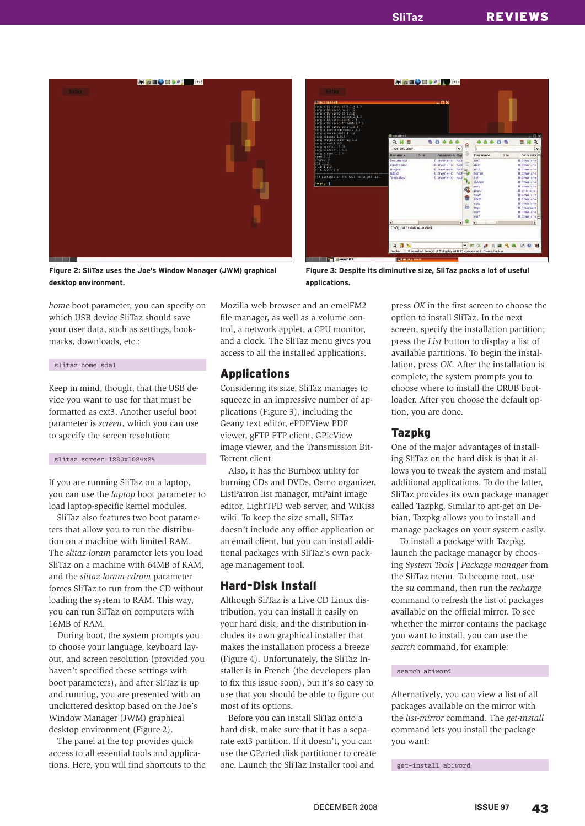

**AS @ EQ ED DATE AND 2335**  $R$  H  $\equiv$ l<br>ordinuration data re-ina 4日も **VITO ARES SANO** 

Figure 2: SliTaz uses the Joe's Window Manager (JWM) graphical desktop environment.

Figure 3: Despite its diminutive size, SliTaz packs a lot of useful applications.

*home* boot parameter, you can specify on which USB device SliTaz should save your user data, such as settings, bookmarks, downloads, etc.:

#### slitaz home=sda1

Keep in mind, though, that the USB device you want to use for that must be formatted as ext3. Another useful boot parameter is *screen*, which you can use to specify the screen resolution:

#### slitaz screen=1280x1024x24

If you are running SliTaz on a laptop, you can use the *laptop* boot parameter to load laptop-specific kernel modules.

SliTaz also features two boot parameters that allow you to run the distribution on a machine with limited RAM. The *slitaz-loram* parameter lets you load SliTaz on a machine with 64MB of RAM, and the *slitaz-loram-cdrom* parameter forces SliTaz to run from the CD without loading the system to RAM. This way, you can run SliTaz on computers with 16MB of RAM.

During boot, the system prompts you to choose your language, keyboard layout, and screen resolution (provided you haven't specified these settings with boot parameters), and after SliTaz is up and running, you are presented with an uncluttered desktop based on the Joe's Window Manager (JWM) graphical desktop environment (Figure 2).

The panel at the top provides quick access to all essential tools and applications. Here, you will find shortcuts to the Mozilla web browser and an emelFM2 file manager, as well as a volume control, a network applet, a CPU monitor, and a clock. The SliTaz menu gives you access to all the installed applications.

## **Applications**

Considering its size, SliTaz manages to squeeze in an impressive number of applications (Figure 3), including the Geany text editor, ePDFView PDF viewer, gFTP FTP client, GPicView image viewer, and the Transmission Bit-Torrent client.

Also, it has the Burnbox utility for burning CDs and DVDs, Osmo organizer, ListPatron list manager, mtPaint image editor, LightTPD web server, and WiKiss wiki. To keep the size small, SliTaz doesn't include any office application or an email client, but you can install additional packages with SliTaz's own package management tool.

## Hard-Disk Install

Although SliTaz is a Live CD Linux distribution, you can install it easily on your hard disk, and the distribution includes its own graphical installer that makes the installation process a breeze (Figure 4). Unfortunately, the SliTaz Installer is in French (the developers plan to fix this issue soon), but it's so easy to use that you should be able to figure out most of its options.

Before you can install SliTaz onto a hard disk, make sure that it has a separate ext3 partition. If it doesn't, you can use the GParted disk partitioner to create one. Launch the SliTaz Installer tool and

press *OK* in the first screen to choose the option to install SliTaz. In the next screen, specify the installation partition; press the *List* button to display a list of available partitions. To begin the installation, press *OK*. After the installation is complete, the system prompts you to choose where to install the GRUB bootloader. After you choose the default option, you are done.

#### Tazpkg

One of the major advantages of installing SliTaz on the hard disk is that it allows you to tweak the system and install additional applications. To do the latter, SliTaz provides its own package manager called Tazpkg. Similar to apt-get on Debian, Tazpkg allows you to install and manage packages on your system easily.

To install a package with Tazpkg, launch the package manager by choosing *System Tools* | *Package manager* from the SliTaz menu. To become root, use the *su* command, then run the *recharge* command to refresh the list of packages available on the official mirror. To see whether the mirror contains the package you want to install, you can use the *search* command, for example:

#### search abiword

Alternatively, you can view a list of all packages available on the mirror with the *list-mirror* command. The *get-install* command lets you install the package you want:

get-install abiword